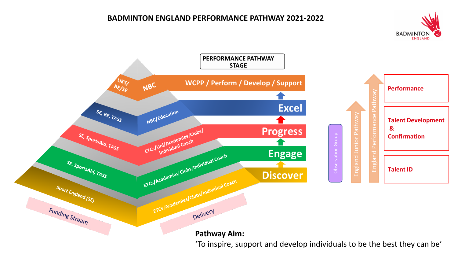# **BADMINTON ENGLAND PERFORMANCE PATHWAY 2021-2022**



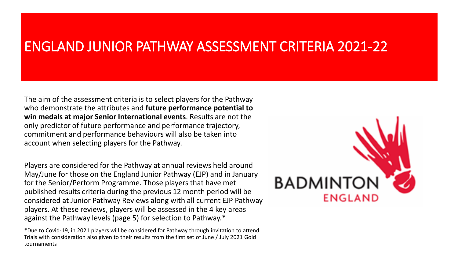# ENGLAND JUNIOR PATHWAY ASSESSMENT CRITERIA 2021-22

The aim of the assessment criteria is to select players for the Pathway who demonstrate the attributes and **future performance potential to win medals at major Senior International events**. Results are not the only predictor of future performance and performance trajectory, commitment and performance behaviours will also be taken into account when selecting players for the Pathway.

Players are considered for the Pathway at annual reviews held around May/June for those on the England Junior Pathway (EJP) and in January for the Senior/Perform Programme. Those players that have met published results criteria during the previous 12 month period will be considered at Junior Pathway Reviews along with all current EJP Pathway players. At these reviews, players will be assessed in the 4 key areas against the Pathway levels (page 5) for selection to Pathway.\*

\*Due to Covid-19, in 2021 players will be considered for Pathway through invitation to attend Trials with consideration also given to their results from the first set of June / July 2021 Gold tournaments

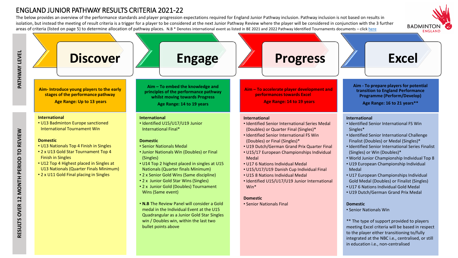# ENGLAND JUNIOR PATHWAY RESULTS CRITERIA 2021-22

The below provides an overview of the performance standards and player progression expectations required for England Junior Pathway inclusion. Pathway inclusion is not based on results in isolation, but instead the meeting of result criteria is a trigger for a player to be considered at the next Junior Pathway Review where the player will be considered in conjunction with the 3 further areas of criteria (listed on page 5) to determine allocation of pathway places. N.B \* Denotes international event as listed in BE 2021 and 2022 Pathway Identified Tournaments documents – click [here](https://www.badmintonengland.co.uk/england-squad/england-performance-pathway/)



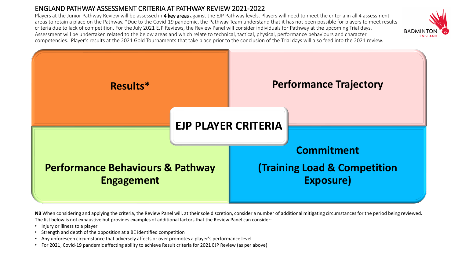# ENGLAND PATHWAY ASSESSMENT CRITERIA AT PATHWAY REVIEW 2021-2022

Players at the Junior Pathway Review will be assessed in 4 key areas against the EJP Pathway levels. Players will need to meet the criteria in all 4 assessment areas to retain a place on the Pathway. \*Due to the Covid-19 pandemic, the Pathway Team understand that it has not been possible for players to meet results criteria due to lack of competition. For the July 2021 EJP Reviews, the Review Panel will consider individuals for Pathway at the upcoming Trial days. Assessment will be undertaken related to the below areas and which relate to technical, tactical, physical, performance behaviours and character competencies. Player's results at the 2021 Gold Tournaments that take place prior to the conclusion of the Trial days will also feed into the 2021 review.

**BADMIN** 



NB When considering and applying the criteria, the Review Panel will, at their sole discretion, consider a number of additional mitigating circumstances for the period being reviewed. The list below is not exhaustive but provides examples of additional factors that the Review Panel can consider:

- Injury or illness to a player
- Strength and depth of the opposition at a BE identified competition
- Any unforeseen circumstance that adversely affects or over promotes a player's performance level
- For 2021, Covid-19 pandemic affecting ability to achieve Result criteria for 2021 EJP Review (as per above)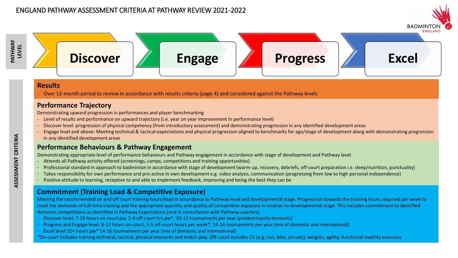



#### **Results**

- Over 12-month period to review in accordance with results criteria (page 4) and considered against the Pathway levels

#### **Performance Trajectory**

Demonstrating upward progression in performances and player benchmarking

- Level of results and performance on upward trajectory (i.e. year on year improvement in performance level)
- Discover level: progression of physical competency (from introductory assessment) and demonstrating progression in any identified development areas
- Engage level and above: Meeting technical & tactical expectations and physical progression aligned to benchmarks for age/stage of development along with demonstrating progression in any identified development areas

#### **Performance Behaviours & Pathway Engagement**

Demonstrating appropriate level of performance behaviours and Pathway engagement in accordance with stage of development and Pathway level

- Attends all Pathway activity offered (screenings, camps, competitions and training opportunities)
- Professional standard in approach to badminton in accordance with stage of development (warm-up, recovery, debriefs, off-court preparation i.e. sleep/nutrition, punctuality)
- Takes responsibility for own performance and pro-active in own development e.g. video analysis, communication (progressing from low to high personal independence)
- Positive attitude to learning, receptive to and able to implement feedback, improving and being the best they can be

#### **Commitment (Training Load & Competitive Exposure)**

Meeting the recommended on and off court training hours/load in accordance to Pathway level and developmental stage. Progression towards the training hours required per week to meet the demands of full-time training and the appropriate quantity and quality of competitive exposure in relation to developmental stage. This includes commitment to identified domestic competitions as identified in Pathway Expectations (and in consultation with Pathway coaches)

- Discover level: 7-10 hours on-court pw, 2-4 off-court hrs pw\*, 10-12 tournaments per year (predominantly domestic)
- Progress and Engage level: 8-12 hours on-court, 3-5 off-court hours per week\*, 14-16 tournaments per year (mix of domestic and international)
- Excel level:20+ hours pw\* 14-16 tournaments per year (mix of domestic and international)
- \*On-court includes training technical, tactical, physical elements and match play. Off-court includes CV (e.g. run, bike, circuits), weights, agility, functional stability exercises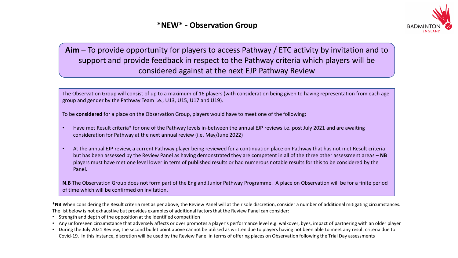

# **Aim** – To provide opportunity for players to access Pathway / ETC activity by invitation and to support and provide feedback in respect to the Pathway criteria which players will be considered against at the next EJP Pathway Review

The Observation Group will consist of up to a maximum of 16 players (with consideration being given to having representation from each age group and gender by the Pathway Team i.e., U13, U15, U17 and U19).

To be **considered** for a place on the Observation Group, players would have to meet one of the following;

- Have met Result criteria\* for one of the Pathway levels in-between the annual EJP reviews i.e. post July 2021 and are awaiting consideration for Pathway at the next annual review (i.e. May/June 2022)
- At the annual EJP review, a current Pathway player being reviewed for a continuation place on Pathway that has not met Result criteria but has been assessed by the Review Panel as having demonstrated they are competent in all of the three other assessment areas – **NB** players must have met one level lower in term of published results or had numerous notable results for this to be considered by the Panel.

**N.B** The Observation Group does not form part of the England Junior Pathway Programme. A place on Observation will be for a finite period of time which will be confirmed on invitation.

**\*NB** When considering the Result criteria met as per above, the Review Panel will at their sole discretion, consider a number of additional mitigating circumstances. The list below is not exhaustive but provides examples of additional factors that the Review Panel can consider:

- Strength and depth of the opposition at the identified competition
- Any unforeseen circumstance that adversely affects or over promotes a player's performance level e.g. walkover, byes, impact of partnering with an older player
- During the July 2021 Review, the second bullet point above cannot be utilised as written due to players having not been able to meet any result criteria due to Covid-19. In this instance, discretion will be used by the Review Panel in terms of offering places on Observation following the Trial Day assessments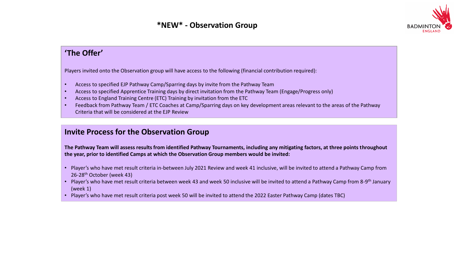

# **'The Offer'**

Players invited onto the Observation group will have access to the following (financial contribution required):

- Access to specified EJP Pathway Camp/Sparring days by invite from the Pathway Team
- Access to specified Apprentice Training days by direct invitation from the Pathway Team (Engage/Progress only)
- Access to England Training Centre (ETC) Training by invitation from the ETC
- Feedback from Pathway Team / ETC Coaches at Camp/Sparring days on key development areas relevant to the areas of the Pathway Criteria that will be considered at the EJP Review

# **Invite Process for the Observation Group**

**The Pathway Team will assess results from identified Pathway Tournaments, including any mitigating factors, at three points throughout the year, prior to identified Camps at which the Observation Group members would be invited:**

- Player's who have met result criteria in-between July 2021 Review and week 41 inclusive, will be invited to attend a Pathway Camp from 26-28<sup>th</sup> October (week 43)
- Player's who have met result criteria between week 43 and week 50 inclusive will be invited to attend a Pathway Camp from 8-9<sup>th</sup> January (week 1)
- Player's who have met result criteria post week 50 will be invited to attend the 2022 Easter Pathway Camp (dates TBC)